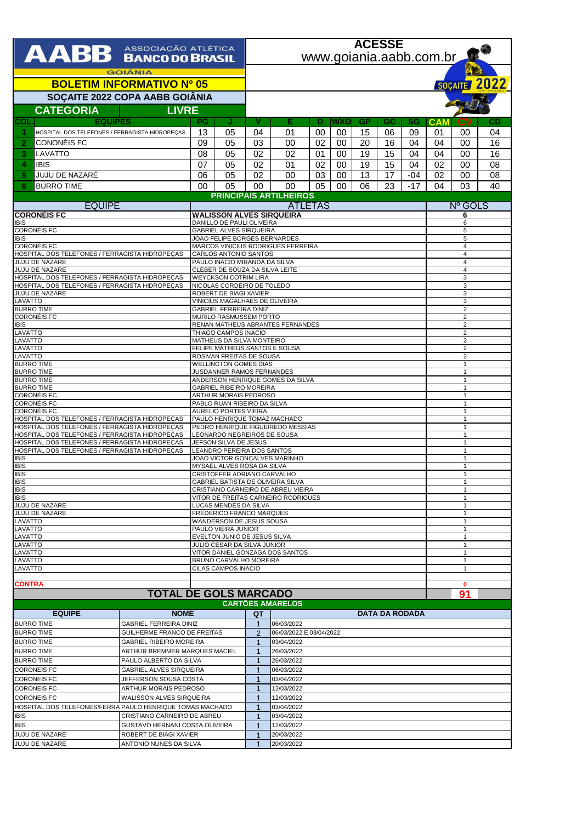| <b>AABB</b> ASSOCIAÇÃO ATLÉTICA                                                                  |                                                                                                  |             |                                                                   | <b>ACESSE</b><br>www.goiania.aabb.com.br                       |                               |                                    |    |            |    |                       |                                  |                              |              |    |  |
|--------------------------------------------------------------------------------------------------|--------------------------------------------------------------------------------------------------|-------------|-------------------------------------------------------------------|----------------------------------------------------------------|-------------------------------|------------------------------------|----|------------|----|-----------------------|----------------------------------|------------------------------|--------------|----|--|
| <b>GOIÂNIA</b><br><b>BOLETIM INFORMATIVO Nº 05</b>                                               |                                                                                                  |             |                                                                   |                                                                | SOÇAITE 2022                  |                                    |    |            |    |                       |                                  |                              |              |    |  |
| SOÇAITE 2022 COPA AABB GOIÂNIA                                                                   |                                                                                                  |             |                                                                   |                                                                |                               |                                    |    |            |    |                       |                                  |                              |              |    |  |
|                                                                                                  | <b>CATEGORIA</b><br><b>LIVRE</b>                                                                 |             |                                                                   |                                                                |                               |                                    |    |            |    |                       |                                  |                              |              |    |  |
| COL                                                                                              | <b>EQUIPES</b>                                                                                   |             | PG                                                                | J                                                              | v                             | Е                                  | Ð  | <b>WXO</b> | GP | GC                    | SG                               | <b>CAM</b>                   |              | CD |  |
| 1                                                                                                | HOSPITAL DOS TELEFONES / FERRAGISTA HIDROPEÇAS                                                   |             | 13                                                                | 05                                                             | 04                            | 01                                 | 00 | 00         | 15 | 06                    | 09                               | 01                           | 00           | 04 |  |
| 2                                                                                                | CONONÉIS FC                                                                                      |             | 09                                                                | 05                                                             | 03                            | 00                                 | 02 | 00         | 20 | 16                    | 04                               | 04                           | 00           | 16 |  |
| 3                                                                                                | LAVATTO                                                                                          |             | 08                                                                | 05                                                             | 02                            | 02                                 | 01 | 00         | 19 | 15                    | 04                               | 04                           | 00           | 16 |  |
| 4                                                                                                | <b>IBIS</b>                                                                                      |             | 07                                                                | 05                                                             | 02                            | 01                                 | 02 | 00         | 19 | 15                    | 04                               | 02                           | 00           | 08 |  |
| 5                                                                                                | JUJU DE NAZARÉ                                                                                   |             | 06                                                                | 05                                                             | 02                            | 00                                 | 03 | 00         | 13 | 17                    | $-04$                            | 02                           | 00           | 08 |  |
| 6                                                                                                | <b>BURRO TIME</b>                                                                                |             | 00                                                                | 05                                                             | 00                            | 00                                 | 05 | 00         | 06 | 23                    | $-17$                            | 04                           | 03           | 40 |  |
|                                                                                                  |                                                                                                  |             |                                                                   |                                                                | <b>PRINCIPAIS ARTILHEIROS</b> |                                    |    |            |    |                       |                                  |                              |              |    |  |
|                                                                                                  | <b>EQUIPE</b><br><b>CORONÉIS FC</b>                                                              |             | <b>ATLETAS</b><br><b>WALISSON ALVES SIRQUEIRA</b>                 |                                                                |                               |                                    |    |            |    | Nº GOLS<br>6          |                                  |                              |              |    |  |
| <b>IBIS</b>                                                                                      |                                                                                                  |             |                                                                   | DANILLO DE PAULI OLIVEIRA                                      |                               |                                    |    |            |    |                       |                                  | 6                            |              |    |  |
| <b>IBIS</b>                                                                                      | <b>CORONÉIS FC</b>                                                                               |             |                                                                   | <b>GABRIEL ALVES SIRQUEIRA</b><br>JOAO FELIPE BORGES BERNARDES |                               |                                    |    |            |    |                       |                                  |                              | 5<br>5       |    |  |
|                                                                                                  | <b>CORONÉIS FC</b>                                                                               |             |                                                                   |                                                                |                               | MARCOS VINICIUS RODRIGUES FERREIRA |    |            |    |                       |                                  | $\overline{4}$               |              |    |  |
|                                                                                                  | HOSPITAL DOS TELEFONES / FERRAGISTA HIDROPEÇAS<br><b>JUJU DE NAZARE</b>                          |             |                                                                   | <b>CARLOS ANTONIO SANTOS</b>                                   |                               |                                    |    |            |    |                       |                                  | $\overline{4}$               |              |    |  |
|                                                                                                  | JUJU DE NAZARE                                                                                   |             | PAULO INACIO MIRANDA DA SILVA<br>CLEBER DE SOUZA DA SILVA LEITE   |                                                                |                               |                                    |    |            |    |                       | $\overline{4}$<br>$\overline{4}$ |                              |              |    |  |
|                                                                                                  | HOSPITAL DOS TELEFONES / FERRAGISTA HIDROPEÇAS                                                   |             |                                                                   | <b>WEYCKSON COTRIM LIRA</b>                                    |                               |                                    |    |            |    |                       |                                  | 3                            |              |    |  |
|                                                                                                  | HOSPITAL DOS TELEFONES / FERRAGISTA HIDROPEÇAS<br>JUJU DE NAZARE                                 |             | NICOLAS CORDEIRO DE TOLEDO<br>ROBERT DE BIAGI XAVIER              |                                                                |                               |                                    |    |            |    |                       | 3<br>3                           |                              |              |    |  |
| LAVATTO                                                                                          |                                                                                                  |             | VINICIUS MAGALHAES DE OLIVEIRA                                    |                                                                |                               |                                    |    |            |    |                       | 3                                |                              |              |    |  |
|                                                                                                  | <b>BURRO TIME</b><br><b>CORONÉIS FC</b>                                                          |             | <b>GABRIEL FERREIRA DINIZ</b><br>MURILO RASMUSSEM PORTO           |                                                                |                               |                                    |    |            |    |                       | 2<br>$\overline{c}$              |                              |              |    |  |
| <b>IBIS</b>                                                                                      |                                                                                                  |             | RENAN MATHEUS ABRANTES FERNANDES                                  |                                                                |                               |                                    |    |            |    |                       | $\overline{2}$                   |                              |              |    |  |
| LAVATTO                                                                                          |                                                                                                  |             | THIAGO CAMPOS INACIO                                              |                                                                |                               |                                    |    |            |    |                       | $\overline{2}$<br>$\overline{2}$ |                              |              |    |  |
| <b>LAVATTO</b><br><b>LAVATTO</b>                                                                 |                                                                                                  |             | MATHEUS DA SILVA MONTEIRO<br>FELIPE MATHEUS SANTOS E SOUSA        |                                                                |                               |                                    |    |            |    |                       | $\overline{\mathbf{c}}$          |                              |              |    |  |
| LAVATTO                                                                                          |                                                                                                  |             | ROSIVAN FREITAS DE SOUSA                                          |                                                                |                               |                                    |    |            |    |                       | 2                                |                              |              |    |  |
|                                                                                                  | <b>BURRO TIME</b><br><b>BURRO TIME</b>                                                           |             | <b>WELLINGTON GOMES DIAS</b><br>JUSDANNER RAMOS FERNANDES         |                                                                |                               |                                    |    |            |    |                       | $\mathbf{1}$<br>$\mathbf{1}$     |                              |              |    |  |
|                                                                                                  | <b>BURRO TIME</b>                                                                                |             | ANDERSON HENRIQUE GOMES DA SILVA                                  |                                                                |                               |                                    |    |            |    |                       | $\mathbf{1}$                     |                              |              |    |  |
|                                                                                                  | <b>BURRO TIME</b><br><b>CORONÉIS FC</b>                                                          |             | <b>GABRIEL RIBEIRO MOREIRA</b><br>ARTHUR MORAIS PEDROSO           |                                                                |                               |                                    |    |            |    |                       | $\mathbf{1}$<br>$\mathbf{1}$     |                              |              |    |  |
|                                                                                                  | <b>CORONÉIS FC</b>                                                                               |             | PABLO RUAN RIBEIRO DA SILVA                                       |                                                                |                               |                                    |    |            |    |                       | $\mathbf{1}$                     |                              |              |    |  |
|                                                                                                  | <b>CORONÉIS FC</b>                                                                               |             | AURELIO PORTES VIEIRA                                             |                                                                |                               |                                    |    |            |    |                       | $\mathbf{1}$                     |                              |              |    |  |
|                                                                                                  | HOSPITAL DOS TELEFONES / FERRAGISTA HIDROPEÇAS<br>HOSPITAL DOS TELEFONES / FERRAGISTA HIDROPECAS |             | PAULO HENRIQUE TOMAZ MACHADO<br>PEDRO HENRIQUE FIGUEIREDO MESSIAS |                                                                |                               |                                    |    |            |    |                       | $\mathbf{1}$<br>$\mathbf{1}$     |                              |              |    |  |
|                                                                                                  | HOSPITAL DOS TELEFONES / FERRAGISTA HIDROPEÇAS                                                   |             | LEONARDO NEGREIROS DE SOUSA                                       |                                                                |                               |                                    |    |            |    |                       | $\mathbf{1}$                     |                              |              |    |  |
| HOSPITAL DOS TELEFONES / FERRAGISTA HIDROPECAS<br>HOSPITAL DOS TELEFONES / FERRAGISTA HIDROPEÇAS |                                                                                                  |             |                                                                   | JEFSON SILVA DE JESUS<br>LEANDRO PEREIRA DOS SANTOS            |                               |                                    |    |            |    |                       |                                  | $\mathbf{1}$<br>$\mathbf{1}$ |              |    |  |
| <b>IBIS</b>                                                                                      |                                                                                                  |             | JOAO VICTOR GONCALVES MARINHO                                     |                                                                |                               |                                    |    |            |    |                       | $\mathbf{1}$                     |                              |              |    |  |
| <b>IBIS</b>                                                                                      |                                                                                                  |             | MYSAEL ALVES ROSA DA SILVA<br>CRISTOFFER ADRIANO CARVALHO         |                                                                |                               |                                    |    |            |    |                       | $\mathbf{1}$<br>$\mathbf{1}$     |                              |              |    |  |
| <b>IBIS</b><br><b>IBIS</b>                                                                       |                                                                                                  |             | GABRIEL BATISTA DE OLIVEIRA SILVA                                 |                                                                |                               |                                    |    |            |    |                       | $\mathbf{1}$                     |                              |              |    |  |
| <b>IBIS</b>                                                                                      |                                                                                                  |             |                                                                   | CRISTIANO CARNEIRO DE ABREU VIEIRA                             |                               |                                    |    |            |    |                       |                                  | $\mathbf{1}$                 |              |    |  |
| <b>IBIS</b><br>JUJU DE NAZARE                                                                    |                                                                                                  |             |                                                                   | VITOR DE FREITAS CARNEIRO RODRIGUES<br>LUCAS MENDES DA SILVA   |                               |                                    |    |            |    |                       |                                  | $\mathbf{1}$<br>$\mathbf{1}$ |              |    |  |
| JUJU DE NAZARE                                                                                   |                                                                                                  |             | FREDERICO FRANCO MARQUES                                          |                                                                |                               |                                    |    |            |    |                       | $\mathbf{1}$                     |                              |              |    |  |
| <b>LAVATTO</b><br>LAVATTO                                                                        |                                                                                                  |             | WANDERSON DE JESUS SOUSA<br>PAULO VIEIRA JUNIOR                   |                                                                |                               |                                    |    |            |    |                       | $\mathbf{1}$<br>$\mathbf{1}$     |                              |              |    |  |
| <b>LAVATTO</b>                                                                                   |                                                                                                  |             | EVELTON JUNIO DE JESUS SILVA                                      |                                                                |                               |                                    |    |            |    |                       | 1                                |                              |              |    |  |
| <b>LAVATTO</b><br>LAVATTO                                                                        |                                                                                                  |             | JULIO CESAR DA SILVA JUNIOR<br>VITOR DANIEL GONZAGA DOS SANTOS    |                                                                |                               |                                    |    |            |    |                       | $\mathbf{1}$<br>$\mathbf{1}$     |                              |              |    |  |
| LAVATTO                                                                                          |                                                                                                  |             | BRUNO CARVALHO MOREIRA                                            |                                                                |                               |                                    |    |            |    |                       | 1                                |                              |              |    |  |
| <b>LAVATTO</b><br>CILAS CAMPOS INACIO                                                            |                                                                                                  |             |                                                                   |                                                                |                               |                                    |    |            |    |                       |                                  | $\mathbf{1}$                 |              |    |  |
| <b>CONTRA</b>                                                                                    |                                                                                                  |             |                                                                   |                                                                |                               |                                    |    |            |    |                       |                                  |                              | $\mathbf{0}$ |    |  |
| <b>TOTAL DE GOLS MARCADO</b>                                                                     |                                                                                                  |             |                                                                   |                                                                |                               |                                    |    |            |    |                       |                                  |                              | 91           |    |  |
|                                                                                                  |                                                                                                  |             |                                                                   |                                                                |                               | <b>CARTÕES AMARELOS</b>            |    |            |    |                       |                                  |                              |              |    |  |
|                                                                                                  | <b>EQUIPE</b>                                                                                    | <b>NOME</b> |                                                                   |                                                                | QT                            |                                    |    |            |    | <b>DATA DA RODADA</b> |                                  |                              |              |    |  |

| <b>EQUIPE</b>                                             | <b>NOME</b>                     | QT | <b>DATA DA RODADA</b>   |
|-----------------------------------------------------------|---------------------------------|----|-------------------------|
| <b>BURRO TIME</b>                                         | <b>GABRIEL FERREIRA DINIZ</b>   |    | 06/03/2022              |
| <b>BURRO TIME</b>                                         | GUILHERME FRANCO DE FREITAS     | 2  | 06/03/2022 E 03/04/2022 |
| <b>BURRO TIME</b>                                         | <b>GABRIEL RIBEIRO MOREIRA</b>  |    | 03/04/2022              |
| <b>BURRO TIME</b>                                         | ARTHUR BREMMER MARQUES MACIEL   |    | 26/03/2022              |
| <b>BURRO TIME</b>                                         | PAULO ALBERTO DA SILVA          |    | 26/03/2022              |
| <b>CORONEIS FC</b>                                        | <b>GABRIEL ALVES SIRQUEIRA</b>  |    | 06/03/2022              |
| <b>CORONEIS FC</b>                                        | JEFFERSON SOUSA COSTA           |    | 03/04/2022              |
| <b>CORONEIS FC</b>                                        | <b>ARTHUR MORAIS PEDROSO</b>    |    | 12/03/2022              |
| <b>CORONEIS FC</b>                                        | <b>WALISSON ALVES SIRQUEIRA</b> |    | 12/03/2022              |
| HOSPITAL DOS TELEFONES/FERRA PAULO HENRIQUE TOMAS MACHADO |                                 |    | 03/04/2022              |
| <b>IBIS</b>                                               | CRISTIANO CARNEIRO DE ABREU     |    | 03/04/2022              |
| <b>IBIS</b>                                               | GUSTAVO HERNANI COSTA OLIVEIRA  |    | 12/03/2022              |
| <b>JUJU DE NAZARE</b>                                     | ROBERT DE BIAGI XAVIER          |    | 20/03/2022              |
| <b>JUJU DE NAZARE</b>                                     | ANTONIO NUNES DA SILVA          |    | 20/03/2022              |